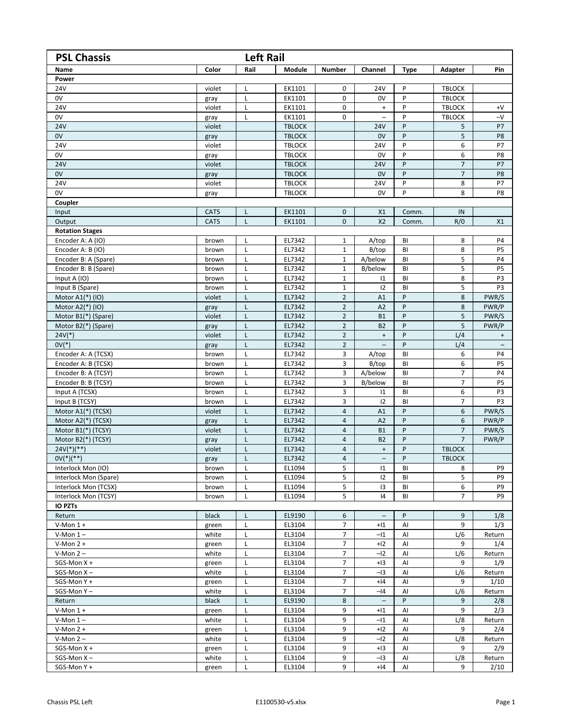| <b>PSL Chassis</b><br><b>Left Rail</b>   |                |             |                  |                |                                  |              |                |                          |  |
|------------------------------------------|----------------|-------------|------------------|----------------|----------------------------------|--------------|----------------|--------------------------|--|
| Name                                     | Color          | Rail        | Module           | <b>Number</b>  | Channel                          | <b>Type</b>  | Adapter        | Pin                      |  |
| Power                                    |                |             |                  |                |                                  |              |                |                          |  |
| 24V                                      | violet         | L           | EK1101           | $\mathbf 0$    | <b>24V</b>                       | P            | <b>TBLOCK</b>  |                          |  |
| 0V                                       | gray           | L           | EK1101           | $\mathbf 0$    | 0V                               | P            | <b>TBLOCK</b>  |                          |  |
| 24V                                      | violet         | L           | EK1101           | $\mathbf 0$    | $\ddot{}$                        | P            | <b>TBLOCK</b>  | $+V$                     |  |
| 0V                                       | gray           | L           | EK1101           | 0              |                                  | P            | <b>TBLOCK</b>  | $-V$                     |  |
| <b>24V</b>                               | violet         |             | <b>TBLOCK</b>    |                | <b>24V</b>                       | P            | 5              | P7                       |  |
| 0V                                       | gray           |             | <b>TBLOCK</b>    |                | 0V                               | P            | 5              | P8                       |  |
| 24V                                      | violet         |             | <b>TBLOCK</b>    |                | 24V                              | P            | 6              | P7                       |  |
| 0V                                       | gray           |             | <b>TBLOCK</b>    |                | 0V                               | P            | 6              | P8                       |  |
| <b>24V</b>                               | violet         |             | <b>TBLOCK</b>    |                | <b>24V</b>                       | P            | $\overline{7}$ | P7                       |  |
| 0V                                       | gray           |             | <b>TBLOCK</b>    |                | 0V                               | P            | $\overline{7}$ | P8                       |  |
| 24V                                      | violet         |             | <b>TBLOCK</b>    |                | 24V                              | P            | 8              | P7                       |  |
| 0V                                       | gray           |             | <b>TBLOCK</b>    |                | 0V                               | P            | 8              | P8                       |  |
| Coupler                                  |                |             |                  |                |                                  |              |                |                          |  |
| Input                                    | CAT5           | L           | EK1101           | $\mathbf{0}$   | X1                               | Comm.        | IN             |                          |  |
| Output                                   | CAT5           | L           | EK1101           | 0              | X <sub>2</sub>                   | Comm.        | R/0            | X1                       |  |
| <b>Rotation Stages</b>                   |                |             |                  |                |                                  |              |                |                          |  |
| Encoder A: A (IO)                        | brown          | $\mathsf L$ | EL7342           | 1              | A/top                            | BI           | 8              | P4                       |  |
| Encoder A: B (IO)                        | brown          | L           | EL7342           | $\mathbf{1}$   | B/top                            | BI           | 8              | P <sub>5</sub>           |  |
| Encoder B: A (Spare)                     | brown          | L           | EL7342           | $\mathbf{1}$   | A/below                          | BI           | 5              | P <sub>4</sub>           |  |
| Encoder B: B (Spare)                     | brown          | L           | EL7342           | $\mathbf{1}$   | B/below                          | BI           | 5              | P5                       |  |
| Input A (IO)                             | brown          | L           | EL7342           | $\mathbf{1}$   | $\mathsf{I}1$                    | BI           | 8              | P3                       |  |
| Input B (Spare)                          | brown          | L           | EL7342           | 1              | 12                               | BI           | 5              | P3                       |  |
| Motor A1(*) (IO)                         | violet         | L           | EL7342           | $\overline{2}$ | A1                               | P            | 8              | PWR/S                    |  |
| Motor A2(*) (IO)                         | gray           | L           | EL7342           | $\overline{2}$ | A2                               | P            | 8              | PWR/P                    |  |
| Motor B1(*) (Spare)                      | violet         | L           | EL7342           | $\mathbf 2$    | <b>B1</b>                        | P            | 5              | PWR/S                    |  |
| Motor B2(*) (Spare)                      | gray           | L           | EL7342           | $\overline{2}$ | <b>B2</b>                        | P            | 5              | PWR/P                    |  |
| $24V(*)$                                 | violet         | L           | EL7342           | $\overline{2}$ | $\ddot{}$                        | P            | L/4            | $\ddot{}$                |  |
| $0V(*)$                                  | gray           | L.          | EL7342           | $\overline{2}$ | $\qquad \qquad -$                | P            | L/4            | $\overline{\phantom{m}}$ |  |
| Encoder A: A (TCSX)                      | brown          | L           | EL7342           | 3              | A/top                            | BI           | 6              | P4                       |  |
| Encoder A: B (TCSX)                      | brown          | L           | EL7342           | 3              | B/top                            | BI           | 6              | P5                       |  |
| Encoder B: A (TCSY)                      | brown          | L           | EL7342           | 3              | A/below                          | BI           | $\overline{7}$ | P4                       |  |
| Encoder B: B (TCSY)                      | brown          | L           | EL7342           | 3              | B/below                          | BI           | 7              | P5                       |  |
| Input A (TCSX)                           | brown          | L           | EL7342           | 3              | $\mathsf{I}1$                    | BI           | 6              | P3                       |  |
| Input B (TCSY)<br>Motor A1(*) (TCSX)     | brown          | L<br>L      | EL7342<br>EL7342 | 3<br>4         | 12                               | BI<br>P      | 7<br>6         | P3<br>PWR/S              |  |
|                                          | violet         |             | EL7342           | $\overline{4}$ | A1                               | P            | 6              | PWR/P                    |  |
| Motor A2(*) (TCSX)<br>Motor B1(*) (TCSY) | gray<br>violet | L<br>L      | EL7342           | $\overline{4}$ | A2<br><b>B1</b>                  | P            | $\overline{7}$ | PWR/S                    |  |
|                                          |                |             | EL7342           | $\sqrt{4}$     | <b>B2</b>                        | P            | $\overline{7}$ | PWR/P                    |  |
| Motor B2(*) (TCSY)<br>$24V(*)$ (**)      | gray<br>violet | L<br>L      | EL7342           | $\overline{4}$ | $\begin{array}{c} + \end{array}$ | P            | <b>TBLOCK</b>  |                          |  |
| $OV(^{*})(^{**})$                        |                | L           | EL7342           | $\overline{4}$ | $\overline{\phantom{0}}$         | $\mathsf{P}$ | <b>TBLOCK</b>  |                          |  |
| Interlock Mon (IO)                       | gray<br>brown  | L           | EL1094           | 5              | $\mathsf{I}1$                    | BI           | 8              | P9                       |  |
| Interlock Mon (Spare)                    | brown          | L           | EL1094           | 5              | 12                               | BI           | 5              | P9                       |  |
| Interlock Mon (TCSX)                     | brown          | L           | EL1094           | 5              | 13                               | BI           | 6              | P9                       |  |
| Interlock Mon (TCSY)                     | brown          | L           | EL1094           | 5              | 14                               | BI           | $\overline{7}$ | P9                       |  |
| <b>IO PZTs</b>                           |                |             |                  |                |                                  |              |                |                          |  |
| Return                                   | black          | L           | EL9190           | 6              | $\overline{\phantom{a}}$         | P            | 9              | 1/8                      |  |
| $V-Mon 1 +$                              | green          | L           | EL3104           | $\overline{7}$ | $+11$                            | AI           | 9              | 1/3                      |  |
| $V-Mon 1-$                               | white          | L           | EL3104           | $\overline{7}$ | $-I1$                            | AI           | L/6            | Return                   |  |
| $V-Mon 2 +$                              | green          | L           | EL3104           | $\overline{7}$ | $+12$                            | Al           | 9              | 1/4                      |  |
| $V-Mon 2 -$                              | white          | L           | EL3104           | $\overline{7}$ | $-I2$                            | AI           | L/6            | Return                   |  |
| $SGS-Mon X +$                            | green          | L           | EL3104           | $\overline{7}$ | $+13$                            | Al           | 9              | 1/9                      |  |
| $SGS-Mon X -$                            | white          | L           | EL3104           | $\overline{7}$ | $-I3$                            | AI           | L/6            | Return                   |  |
| SGS-Mon Y +                              | green          | L           | EL3104           | $\overline{7}$ | $+14$                            | AI           | 9              | 1/10                     |  |
| SGS-Mon Y-                               | white          | L           | EL3104           | 7              | $-I4$                            | Al           | L/6            | Return                   |  |
| Return                                   | black          | L           | EL9190           | 8              |                                  | P            | 9              | 2/8                      |  |
| $V-Mon 1 +$                              | green          | L           | EL3104           | 9              | $+11$                            | AI           | 9              | 2/3                      |  |
| $V-Mon 1-$                               | white          | L           | EL3104           | 9              | $-11$                            | AI           | L/8            | Return                   |  |
| $V-Mon 2 +$                              | green          | L           | EL3104           | 9              | $+12$                            | Al           | 9              | 2/4                      |  |
| $V-Mon 2 -$                              | white          |             | EL3104           | 9              | $-I2$                            | AI           | L/8            | Return                   |  |
| $SGS-Mon X +$                            | green          | L           | EL3104           | 9              | $+13$                            | Al           | 9              | 2/9                      |  |
| $SGS-Mon X -$                            | white          | L           | EL3104           | 9              | $-I3$                            | Al           | L/8            | Return                   |  |
| SGS-Mon Y +                              | green          | L           | EL3104           | 9              | $+14$                            | Al           | 9              | 2/10                     |  |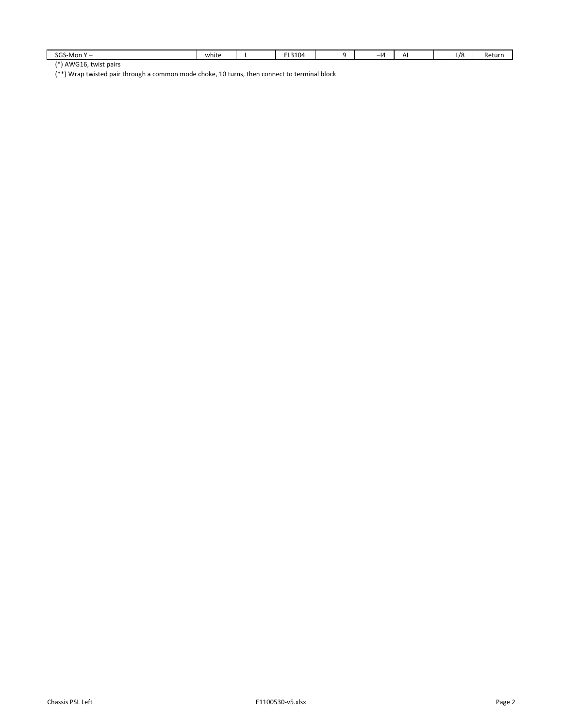| SGS.<br>S-Mon                           | . .<br>white | $F: \Omega \wedge \Omega$<br>.<br>----- | - 14 | $\Lambda$<br>-- | 70<br>L/C | ne.<br>: u |
|-----------------------------------------|--------------|-----------------------------------------|------|-----------------|-----------|------------|
| $\sim$ $\sim$ $\sim$<br>$1*1$ $011001C$ |              |                                         |      |                 |           |            |

(\*) AWG16, twist pairs

(\*\*) Wrap twisted pair through a common mode choke, 10 turns, then connect to terminal block